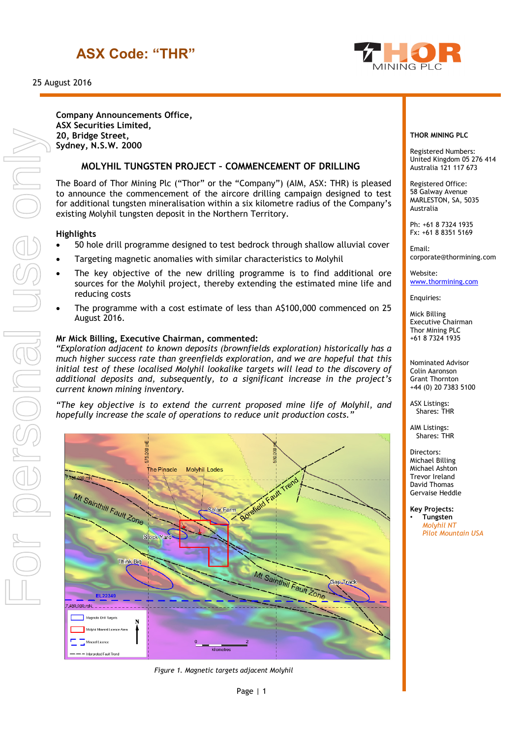## **ASX Code: "THR"**





**Company Announcements Office, ASX Securities Limited, 20, Bridge Street, Sydney, N.S.W. 2000**

### **MOLYHIL TUNGSTEN PROJECT – COMMENCEMENT OF DRILLING**

The Board of Thor Mining Plc ("Thor" or the "Company") (AIM, ASX: THR) is pleased to announce the commencement of the aircore drilling campaign designed to test for additional tungsten mineralisation within a six kilometre radius of the Company's existing Molyhil tungsten deposit in the Northern Territory.

#### **Highlights**

- 50 hole drill programme designed to test bedrock through shallow alluvial cover
- Targeting magnetic anomalies with similar characteristics to Molyhil
- The key objective of the new drilling programme is to find additional ore sources for the Molyhil project, thereby extending the estimated mine life and reducing costs
- The programme with a cost estimate of less than A\$100,000 commenced on 25 August 2016.

#### **Mr Mick Billing, Executive Chairman, commented:**

*"Exploration adjacent to known deposits (brownfields exploration) historically has a much higher success rate than greenfields exploration, and we are hopeful that this*  initial test of these localised Molyhil lookalike targets will lead to the discovery of *additional deposits and, subsequently, to a significant increase in the project's current known mining inventory.*

*"The key objective is to extend the current proposed mine life of Molyhil, and hopefully increase the scale of operations to reduce unit production costs."*



*Figure 1. Magnetic targets adjacent Molyhil*

#### **THOR MINING PLC**

Registered Numbers: United Kingdom 05 276 414 Australia 121 117 673

Registered Office: 58 Galway Avenue MARLESTON, SA, 5035 Australia

Ph: +61 8 7324 1935 Fx: +61 8 8351 5169

Email: corporate@thormining.com

Website: [www.thormining.com](http://www.thormining.com/)

Enquiries:

Mick Billing Executive Chairman Thor Mining PLC +61 8 7324 1935

Nominated Advisor Colin Aaronson Grant Thornton +44 (0) 20 7383 5100

ASX Listings: Shares: THR

AIM Listings: Shares: THR

Directors: Michael Billing Michael Ashton Trevor Ireland David Thomas Gervaise Heddle

**Key Projects:** • **Tungsten** *Molyhil NT Pilot Mountain USA*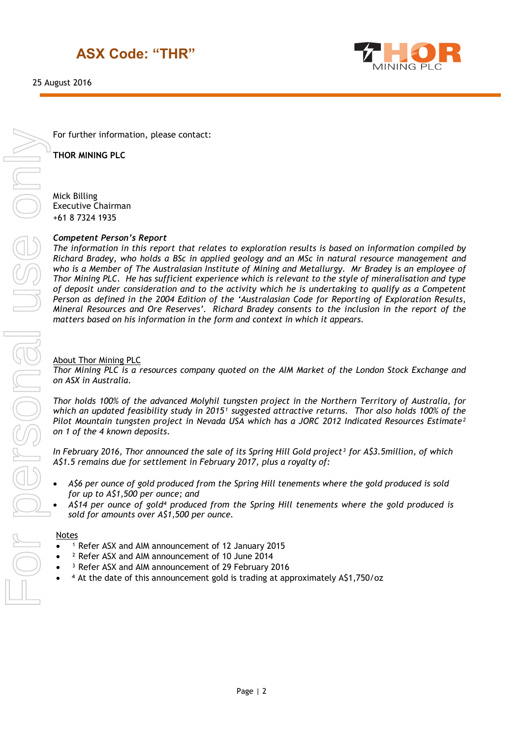## **ASX Code: "THR"**

25 August 2016



For further information, please contact:

**THOR MINING PLC**

Mick Billing Executive Chairman +61 8 7324 1935

### *Competent Person's Report*

*The information in this report that relates to exploration results is based on information compiled by Richard Bradey, who holds a BSc in applied geology and an MSc in natural resource management and who is a Member of The Australasian Institute of Mining and Metallurgy. Mr Bradey is an employee of Thor Mining PLC. He has sufficient experience which is relevant to the style of mineralisation and type of deposit under consideration and to the activity which he is undertaking to qualify as a Competent Person as defined in the 2004 Edition of the 'Australasian Code for Reporting of Exploration Results, Mineral Resources and Ore Reserves'. Richard Bradey consents to the inclusion in the report of the matters based on his information in the form and context in which it appears.*

### About Thor Mining PLC

*Thor Mining PLC is a resources company quoted on the AIM Market of the London Stock Exchange and on ASX in Australia.*

*Thor holds 100% of the advanced Molyhil tungsten project in the Northern Territory of Australia, for which an updated feasibility study in 2015<sup>1</sup> suggested attractive returns. Thor also holds 100% of the Pilot Mountain tungsten project in Nevada USA which has a JORC 2012 Indicated Resources Estimate² on 1 of the 4 known deposits.* 

*In February 2016, Thor announced the sale of its Spring Hill Gold project³ for A\$3.5million, of which A\$1.5 remains due for settlement in February 2017, plus a royalty of:*

- *A\$6 per ounce of gold produced from the Spring Hill tenements where the gold produced is sold for up to A\$1,500 per ounce; and*
- *A\$14 per ounce of gold⁴ produced from the Spring Hill tenements where the gold produced is sold for amounts over A\$1,500 per ounce.*

#### **Notes**

- <sup>1</sup> Refer ASX and AIM announcement of 12 January 2015
- ² Refer ASX and AIM announcement of 10 June 2014
- <sup>3</sup> Refer ASX and AIM announcement of 29 February 2016
- <sup>4</sup> At the date of this announcement gold is trading at approximately A\$1,750/oz